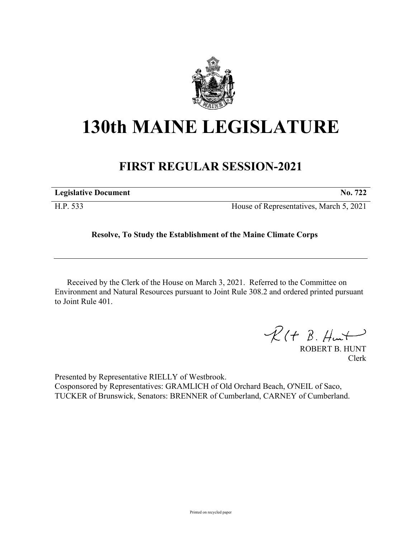

## **130th MAINE LEGISLATURE**

## **FIRST REGULAR SESSION-2021**

| <b>Legislative Document</b> | No. 722                                 |
|-----------------------------|-----------------------------------------|
| H.P. 533                    | House of Representatives, March 5, 2021 |

## **Resolve, To Study the Establishment of the Maine Climate Corps**

Received by the Clerk of the House on March 3, 2021. Referred to the Committee on Environment and Natural Resources pursuant to Joint Rule 308.2 and ordered printed pursuant to Joint Rule 401.

 $\mathcal{R}(t \; \mathcal{B}, \#m\rightarrow)$ 

ROBERT B. HUNT Clerk

Presented by Representative RIELLY of Westbrook. Cosponsored by Representatives: GRAMLICH of Old Orchard Beach, O'NEIL of Saco, TUCKER of Brunswick, Senators: BRENNER of Cumberland, CARNEY of Cumberland.